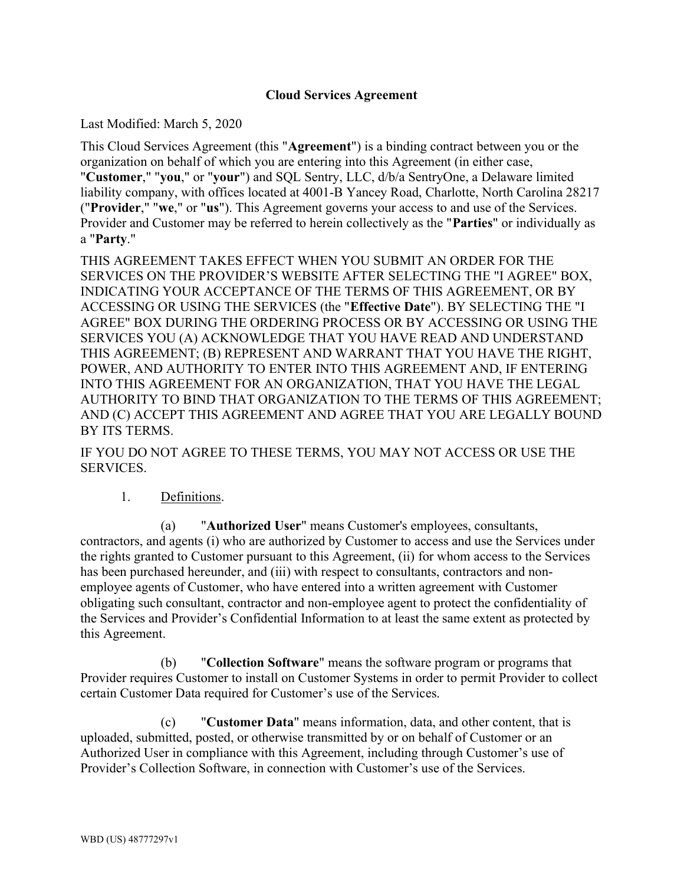## Cloud Services Agreement

Last Modified: March 5, 2020

This Cloud Services Agreement (this "Agreement") is a binding contract between you or the organization on behalf of which you are entering into this Agreement (in either case, "Customer," "you," or "your") and SQL Sentry, LLC, d/b/a SentryOne, a Delaware limited liability company, with offices located at 4001-B Yancey Road, Charlotte, North Carolina 28217 ("Provider," "we," or "us"). This Agreement governs your access to and use of the Services. Provider and Customer may be referred to herein collectively as the "Parties" or individually as a "Party."

THIS AGREEMENT TAKES EFFECT WHEN YOU SUBMIT AN ORDER FOR THE SERVICES ON THE PROVIDER'S WEBSITE AFTER SELECTING THE "I AGREE" BOX, INDICATING YOUR ACCEPTANCE OF THE TERMS OF THIS AGREEMENT, OR BY ACCESSING OR USING THE SERVICES (the "Effective Date"). BY SELECTING THE "I AGREE" BOX DURING THE ORDERING PROCESS OR BY ACCESSING OR USING THE SERVICES YOU (A) ACKNOWLEDGE THAT YOU HAVE READ AND UNDERSTAND THIS AGREEMENT; (B) REPRESENT AND WARRANT THAT YOU HAVE THE RIGHT, POWER, AND AUTHORITY TO ENTER INTO THIS AGREEMENT AND, IF ENTERING INTO THIS AGREEMENT FOR AN ORGANIZATION, THAT YOU HAVE THE LEGAL AUTHORITY TO BIND THAT ORGANIZATION TO THE TERMS OF THIS AGREEMENT; AND (C) ACCEPT THIS AGREEMENT AND AGREE THAT YOU ARE LEGALLY BOUND BY ITS TERMS.

IF YOU DO NOT AGREE TO THESE TERMS, YOU MAY NOT ACCESS OR USE THE SERVICES.

# 1. Definitions.

(a) "Authorized User" means Customer's employees, consultants, contractors, and agents (i) who are authorized by Customer to access and use the Services under the rights granted to Customer pursuant to this Agreement, (ii) for whom access to the Services has been purchased hereunder, and (iii) with respect to consultants, contractors and nonemployee agents of Customer, who have entered into a written agreement with Customer obligating such consultant, contractor and non-employee agent to protect the confidentiality of the Services and Provider's Confidential Information to at least the same extent as protected by this Agreement.

(b) "Collection Software" means the software program or programs that Provider requires Customer to install on Customer Systems in order to permit Provider to collect certain Customer Data required for Customer's use of the Services.

(c) "Customer Data" means information, data, and other content, that is uploaded, submitted, posted, or otherwise transmitted by or on behalf of Customer or an Authorized User in compliance with this Agreement, including through Customer's use of Provider's Collection Software, in connection with Customer's use of the Services.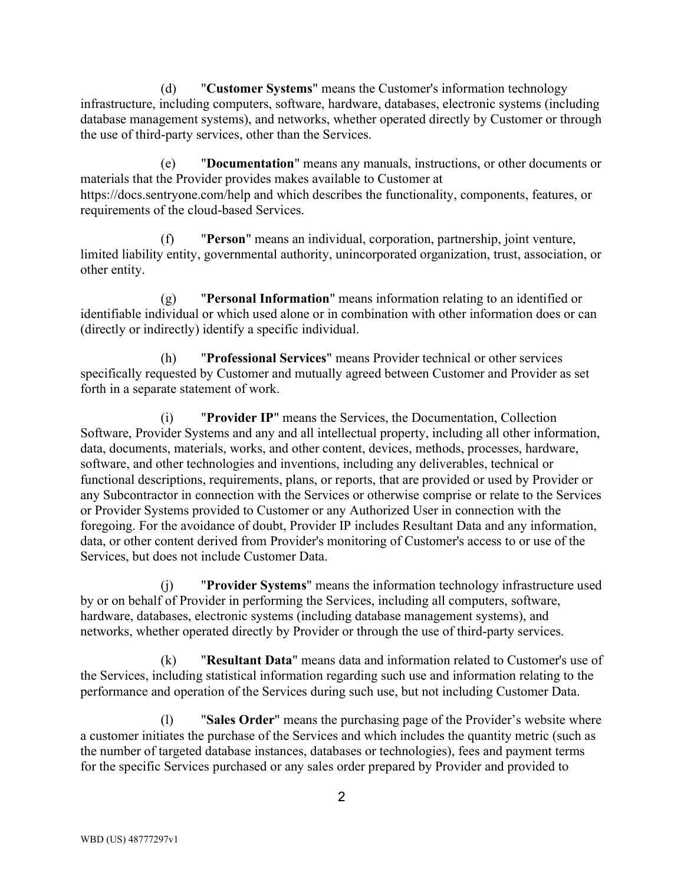(d) "Customer Systems" means the Customer's information technology infrastructure, including computers, software, hardware, databases, electronic systems (including database management systems), and networks, whether operated directly by Customer or through the use of third-party services, other than the Services.

(e) "Documentation" means any manuals, instructions, or other documents or materials that the Provider provides makes available to Customer at https://docs.sentryone.com/help and which describes the functionality, components, features, or requirements of the cloud-based Services.

(f) "Person" means an individual, corporation, partnership, joint venture, limited liability entity, governmental authority, unincorporated organization, trust, association, or other entity.

(g) "Personal Information" means information relating to an identified or identifiable individual or which used alone or in combination with other information does or can (directly or indirectly) identify a specific individual.

(h) "Professional Services" means Provider technical or other services specifically requested by Customer and mutually agreed between Customer and Provider as set forth in a separate statement of work.

(i) "Provider IP" means the Services, the Documentation, Collection Software, Provider Systems and any and all intellectual property, including all other information, data, documents, materials, works, and other content, devices, methods, processes, hardware, software, and other technologies and inventions, including any deliverables, technical or functional descriptions, requirements, plans, or reports, that are provided or used by Provider or any Subcontractor in connection with the Services or otherwise comprise or relate to the Services or Provider Systems provided to Customer or any Authorized User in connection with the foregoing. For the avoidance of doubt, Provider IP includes Resultant Data and any information, data, or other content derived from Provider's monitoring of Customer's access to or use of the Services, but does not include Customer Data.

"Provider Systems" means the information technology infrastructure used by or on behalf of Provider in performing the Services, including all computers, software, hardware, databases, electronic systems (including database management systems), and networks, whether operated directly by Provider or through the use of third-party services.

(k) "Resultant Data" means data and information related to Customer's use of the Services, including statistical information regarding such use and information relating to the performance and operation of the Services during such use, but not including Customer Data.

(l) "Sales Order" means the purchasing page of the Provider's website where a customer initiates the purchase of the Services and which includes the quantity metric (such as the number of targeted database instances, databases or technologies), fees and payment terms for the specific Services purchased or any sales order prepared by Provider and provided to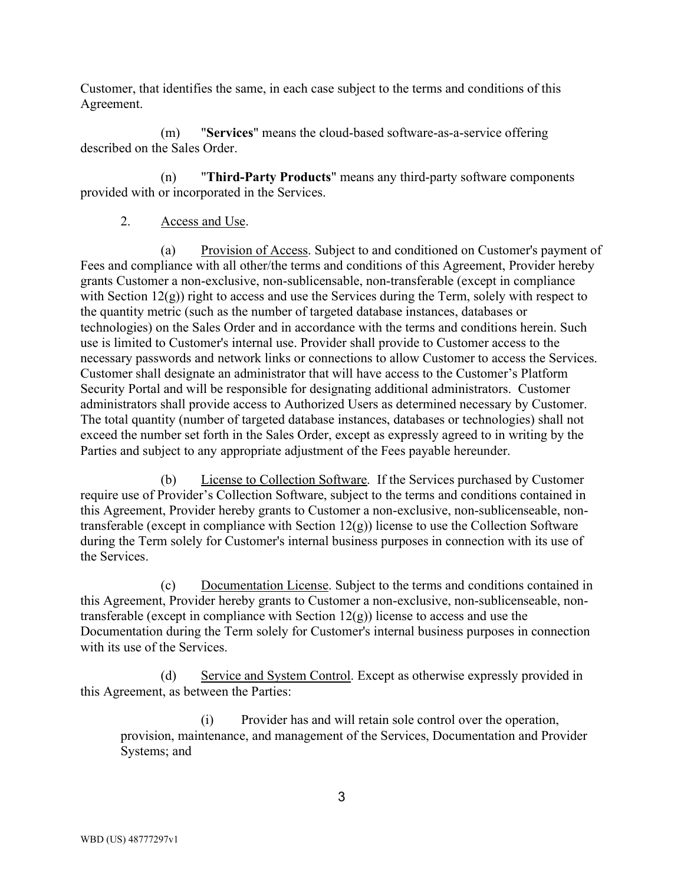Customer, that identifies the same, in each case subject to the terms and conditions of this Agreement.

(m) "Services" means the cloud-based software-as-a-service offering described on the Sales Order.

(n) "Third-Party Products" means any third-party software components provided with or incorporated in the Services.

2. Access and Use.

(a) Provision of Access. Subject to and conditioned on Customer's payment of Fees and compliance with all other/the terms and conditions of this Agreement, Provider hereby grants Customer a non-exclusive, non-sublicensable, non-transferable (except in compliance with Section  $12(g)$ ) right to access and use the Services during the Term, solely with respect to the quantity metric (such as the number of targeted database instances, databases or technologies) on the Sales Order and in accordance with the terms and conditions herein. Such use is limited to Customer's internal use. Provider shall provide to Customer access to the necessary passwords and network links or connections to allow Customer to access the Services. Customer shall designate an administrator that will have access to the Customer's Platform Security Portal and will be responsible for designating additional administrators. Customer administrators shall provide access to Authorized Users as determined necessary by Customer. The total quantity (number of targeted database instances, databases or technologies) shall not exceed the number set forth in the Sales Order, except as expressly agreed to in writing by the Parties and subject to any appropriate adjustment of the Fees payable hereunder.

(b) License to Collection Software. If the Services purchased by Customer require use of Provider's Collection Software, subject to the terms and conditions contained in this Agreement, Provider hereby grants to Customer a non-exclusive, non-sublicenseable, nontransferable (except in compliance with Section  $12(g)$ ) license to use the Collection Software during the Term solely for Customer's internal business purposes in connection with its use of the Services.

(c) Documentation License. Subject to the terms and conditions contained in this Agreement, Provider hereby grants to Customer a non-exclusive, non-sublicenseable, nontransferable (except in compliance with Section  $12(g)$ ) license to access and use the Documentation during the Term solely for Customer's internal business purposes in connection with its use of the Services.

(d) Service and System Control. Except as otherwise expressly provided in this Agreement, as between the Parties:

(i) Provider has and will retain sole control over the operation, provision, maintenance, and management of the Services, Documentation and Provider Systems; and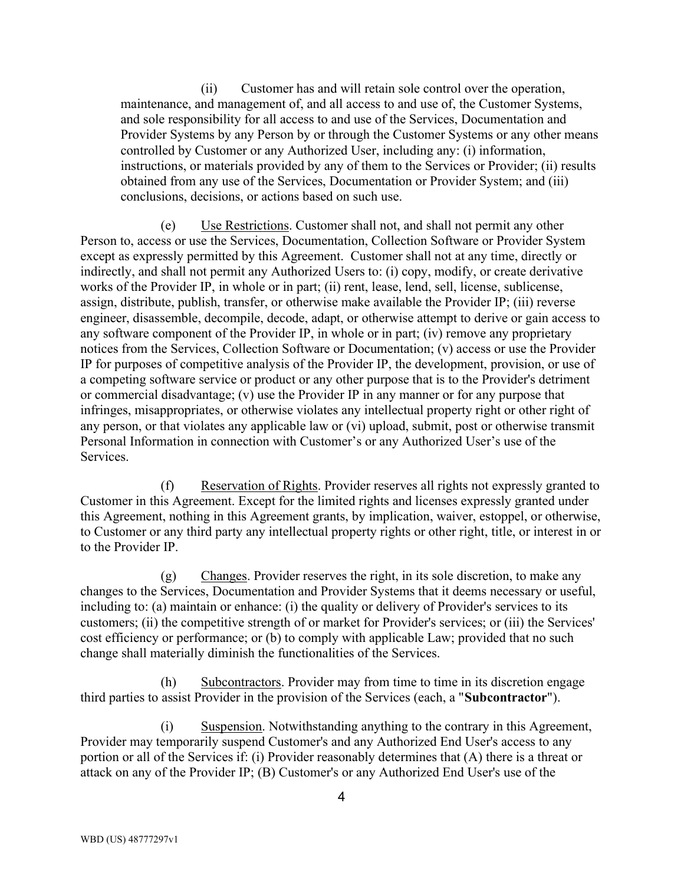(ii) Customer has and will retain sole control over the operation, maintenance, and management of, and all access to and use of, the Customer Systems, and sole responsibility for all access to and use of the Services, Documentation and Provider Systems by any Person by or through the Customer Systems or any other means controlled by Customer or any Authorized User, including any: (i) information, instructions, or materials provided by any of them to the Services or Provider; (ii) results obtained from any use of the Services, Documentation or Provider System; and (iii) conclusions, decisions, or actions based on such use.

(e) Use Restrictions. Customer shall not, and shall not permit any other Person to, access or use the Services, Documentation, Collection Software or Provider System except as expressly permitted by this Agreement. Customer shall not at any time, directly or indirectly, and shall not permit any Authorized Users to: (i) copy, modify, or create derivative works of the Provider IP, in whole or in part; (ii) rent, lease, lend, sell, license, sublicense, assign, distribute, publish, transfer, or otherwise make available the Provider IP; (iii) reverse engineer, disassemble, decompile, decode, adapt, or otherwise attempt to derive or gain access to any software component of the Provider IP, in whole or in part; (iv) remove any proprietary notices from the Services, Collection Software or Documentation; (v) access or use the Provider IP for purposes of competitive analysis of the Provider IP, the development, provision, or use of a competing software service or product or any other purpose that is to the Provider's detriment or commercial disadvantage; (v) use the Provider IP in any manner or for any purpose that infringes, misappropriates, or otherwise violates any intellectual property right or other right of any person, or that violates any applicable law or (vi) upload, submit, post or otherwise transmit Personal Information in connection with Customer's or any Authorized User's use of the Services.

(f) Reservation of Rights. Provider reserves all rights not expressly granted to Customer in this Agreement. Except for the limited rights and licenses expressly granted under this Agreement, nothing in this Agreement grants, by implication, waiver, estoppel, or otherwise, to Customer or any third party any intellectual property rights or other right, title, or interest in or to the Provider IP.

(g) Changes. Provider reserves the right, in its sole discretion, to make any changes to the Services, Documentation and Provider Systems that it deems necessary or useful, including to: (a) maintain or enhance: (i) the quality or delivery of Provider's services to its customers; (ii) the competitive strength of or market for Provider's services; or (iii) the Services' cost efficiency or performance; or (b) to comply with applicable Law; provided that no such change shall materially diminish the functionalities of the Services.

(h) Subcontractors. Provider may from time to time in its discretion engage third parties to assist Provider in the provision of the Services (each, a "Subcontractor").

(i) Suspension. Notwithstanding anything to the contrary in this Agreement, Provider may temporarily suspend Customer's and any Authorized End User's access to any portion or all of the Services if: (i) Provider reasonably determines that (A) there is a threat or attack on any of the Provider IP; (B) Customer's or any Authorized End User's use of the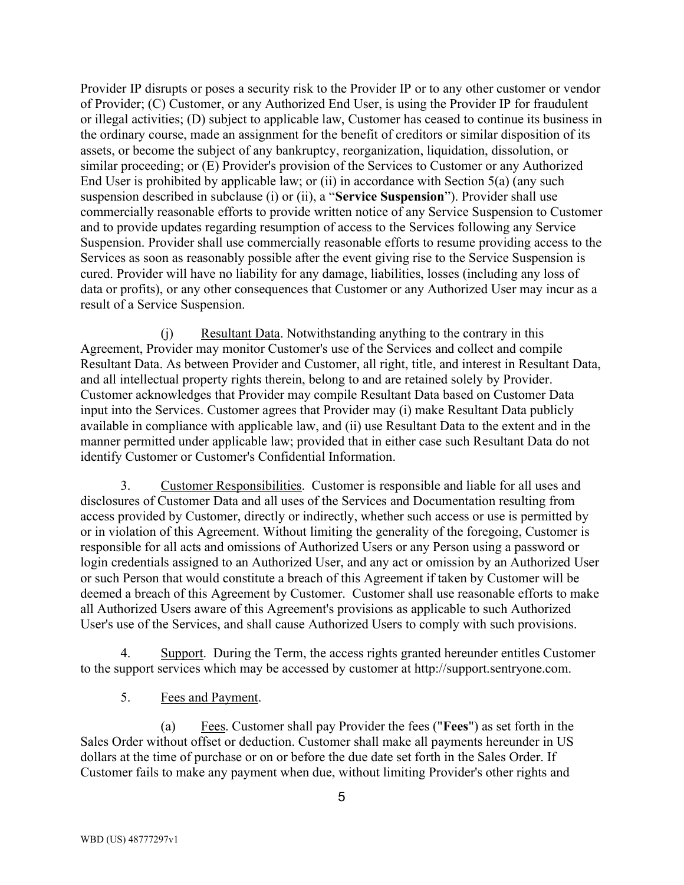Provider IP disrupts or poses a security risk to the Provider IP or to any other customer or vendor of Provider; (C) Customer, or any Authorized End User, is using the Provider IP for fraudulent or illegal activities; (D) subject to applicable law, Customer has ceased to continue its business in the ordinary course, made an assignment for the benefit of creditors or similar disposition of its assets, or become the subject of any bankruptcy, reorganization, liquidation, dissolution, or similar proceeding; or (E) Provider's provision of the Services to Customer or any Authorized End User is prohibited by applicable law; or (ii) in accordance with Section 5(a) (any such suspension described in subclause (i) or (ii), a "Service Suspension"). Provider shall use commercially reasonable efforts to provide written notice of any Service Suspension to Customer and to provide updates regarding resumption of access to the Services following any Service Suspension. Provider shall use commercially reasonable efforts to resume providing access to the Services as soon as reasonably possible after the event giving rise to the Service Suspension is cured. Provider will have no liability for any damage, liabilities, losses (including any loss of data or profits), or any other consequences that Customer or any Authorized User may incur as a result of a Service Suspension.

(j) Resultant Data. Notwithstanding anything to the contrary in this Agreement, Provider may monitor Customer's use of the Services and collect and compile Resultant Data. As between Provider and Customer, all right, title, and interest in Resultant Data, and all intellectual property rights therein, belong to and are retained solely by Provider. Customer acknowledges that Provider may compile Resultant Data based on Customer Data input into the Services. Customer agrees that Provider may (i) make Resultant Data publicly available in compliance with applicable law, and (ii) use Resultant Data to the extent and in the manner permitted under applicable law; provided that in either case such Resultant Data do not identify Customer or Customer's Confidential Information.

3. Customer Responsibilities. Customer is responsible and liable for all uses and disclosures of Customer Data and all uses of the Services and Documentation resulting from access provided by Customer, directly or indirectly, whether such access or use is permitted by or in violation of this Agreement. Without limiting the generality of the foregoing, Customer is responsible for all acts and omissions of Authorized Users or any Person using a password or login credentials assigned to an Authorized User, and any act or omission by an Authorized User or such Person that would constitute a breach of this Agreement if taken by Customer will be deemed a breach of this Agreement by Customer. Customer shall use reasonable efforts to make all Authorized Users aware of this Agreement's provisions as applicable to such Authorized User's use of the Services, and shall cause Authorized Users to comply with such provisions.

4. Support. During the Term, the access rights granted hereunder entitles Customer to the support services which may be accessed by customer at http://support.sentryone.com.

5. Fees and Payment.

(a) Fees. Customer shall pay Provider the fees ("Fees") as set forth in the Sales Order without offset or deduction. Customer shall make all payments hereunder in US dollars at the time of purchase or on or before the due date set forth in the Sales Order. If Customer fails to make any payment when due, without limiting Provider's other rights and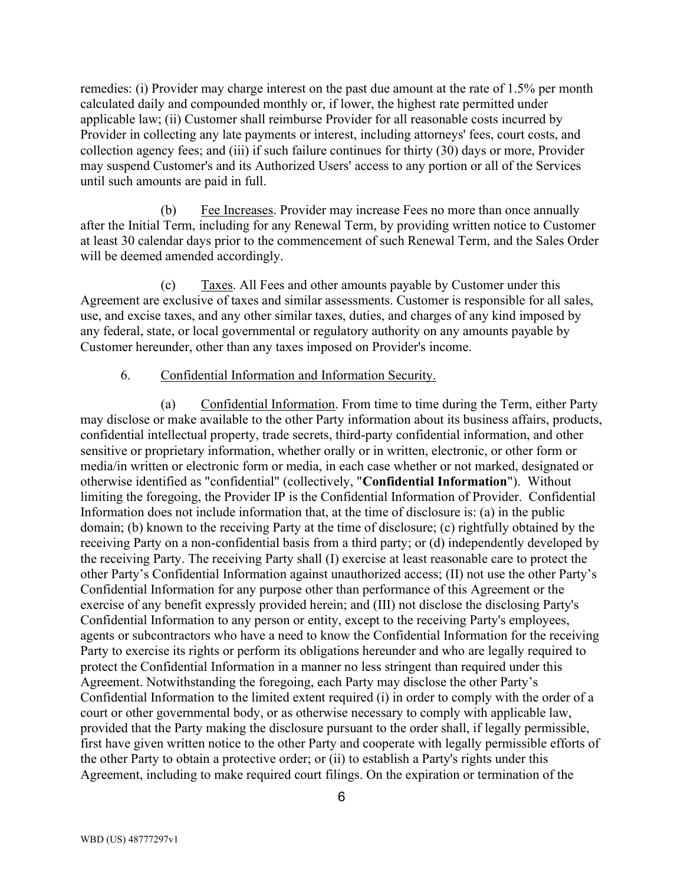remedies: (i) Provider may charge interest on the past due amount at the rate of 1.5% per month calculated daily and compounded monthly or, if lower, the highest rate permitted under applicable law; (ii) Customer shall reimburse Provider for all reasonable costs incurred by Provider in collecting any late payments or interest, including attorneys' fees, court costs, and collection agency fees; and (iii) if such failure continues for thirty (30) days or more, Provider may suspend Customer's and its Authorized Users' access to any portion or all of the Services until such amounts are paid in full.

(b) Fee Increases. Provider may increase Fees no more than once annually after the Initial Term, including for any Renewal Term, by providing written notice to Customer at least 30 calendar days prior to the commencement of such Renewal Term, and the Sales Order will be deemed amended accordingly.

(c) Taxes. All Fees and other amounts payable by Customer under this Agreement are exclusive of taxes and similar assessments. Customer is responsible for all sales, use, and excise taxes, and any other similar taxes, duties, and charges of any kind imposed by any federal, state, or local governmental or regulatory authority on any amounts payable by Customer hereunder, other than any taxes imposed on Provider's income.

#### 6. Confidential Information and Information Security.

(a) Confidential Information. From time to time during the Term, either Party may disclose or make available to the other Party information about its business affairs, products, confidential intellectual property, trade secrets, third-party confidential information, and other sensitive or proprietary information, whether orally or in written, electronic, or other form or media/in written or electronic form or media, in each case whether or not marked, designated or otherwise identified as "confidential" (collectively, "Confidential Information"). Without limiting the foregoing, the Provider IP is the Confidential Information of Provider. Confidential Information does not include information that, at the time of disclosure is: (a) in the public domain; (b) known to the receiving Party at the time of disclosure; (c) rightfully obtained by the receiving Party on a non-confidential basis from a third party; or (d) independently developed by the receiving Party. The receiving Party shall (I) exercise at least reasonable care to protect the other Party's Confidential Information against unauthorized access; (II) not use the other Party's Confidential Information for any purpose other than performance of this Agreement or the exercise of any benefit expressly provided herein; and (III) not disclose the disclosing Party's Confidential Information to any person or entity, except to the receiving Party's employees, agents or subcontractors who have a need to know the Confidential Information for the receiving Party to exercise its rights or perform its obligations hereunder and who are legally required to protect the Confidential Information in a manner no less stringent than required under this Agreement. Notwithstanding the foregoing, each Party may disclose the other Party's Confidential Information to the limited extent required (i) in order to comply with the order of a court or other governmental body, or as otherwise necessary to comply with applicable law, provided that the Party making the disclosure pursuant to the order shall, if legally permissible, first have given written notice to the other Party and cooperate with legally permissible efforts of the other Party to obtain a protective order; or (ii) to establish a Party's rights under this Agreement, including to make required court filings. On the expiration or termination of the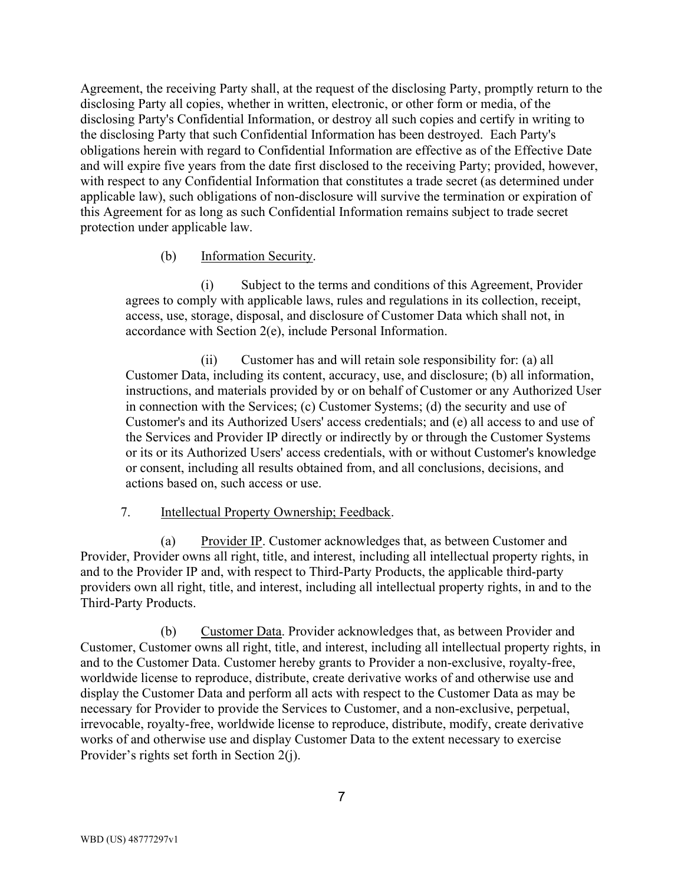Agreement, the receiving Party shall, at the request of the disclosing Party, promptly return to the disclosing Party all copies, whether in written, electronic, or other form or media, of the disclosing Party's Confidential Information, or destroy all such copies and certify in writing to the disclosing Party that such Confidential Information has been destroyed. Each Party's obligations herein with regard to Confidential Information are effective as of the Effective Date and will expire five years from the date first disclosed to the receiving Party; provided, however, with respect to any Confidential Information that constitutes a trade secret (as determined under applicable law), such obligations of non-disclosure will survive the termination or expiration of this Agreement for as long as such Confidential Information remains subject to trade secret protection under applicable law.

### (b) Information Security.

(i) Subject to the terms and conditions of this Agreement, Provider agrees to comply with applicable laws, rules and regulations in its collection, receipt, access, use, storage, disposal, and disclosure of Customer Data which shall not, in accordance with Section 2(e), include Personal Information.

(ii) Customer has and will retain sole responsibility for: (a) all Customer Data, including its content, accuracy, use, and disclosure; (b) all information, instructions, and materials provided by or on behalf of Customer or any Authorized User in connection with the Services; (c) Customer Systems; (d) the security and use of Customer's and its Authorized Users' access credentials; and (e) all access to and use of the Services and Provider IP directly or indirectly by or through the Customer Systems or its or its Authorized Users' access credentials, with or without Customer's knowledge or consent, including all results obtained from, and all conclusions, decisions, and actions based on, such access or use.

7. Intellectual Property Ownership; Feedback.

(a) Provider IP. Customer acknowledges that, as between Customer and Provider, Provider owns all right, title, and interest, including all intellectual property rights, in and to the Provider IP and, with respect to Third-Party Products, the applicable third-party providers own all right, title, and interest, including all intellectual property rights, in and to the Third-Party Products.

(b) Customer Data. Provider acknowledges that, as between Provider and Customer, Customer owns all right, title, and interest, including all intellectual property rights, in and to the Customer Data. Customer hereby grants to Provider a non-exclusive, royalty-free, worldwide license to reproduce, distribute, create derivative works of and otherwise use and display the Customer Data and perform all acts with respect to the Customer Data as may be necessary for Provider to provide the Services to Customer, and a non-exclusive, perpetual, irrevocable, royalty-free, worldwide license to reproduce, distribute, modify, create derivative works of and otherwise use and display Customer Data to the extent necessary to exercise Provider's rights set forth in Section 2(j).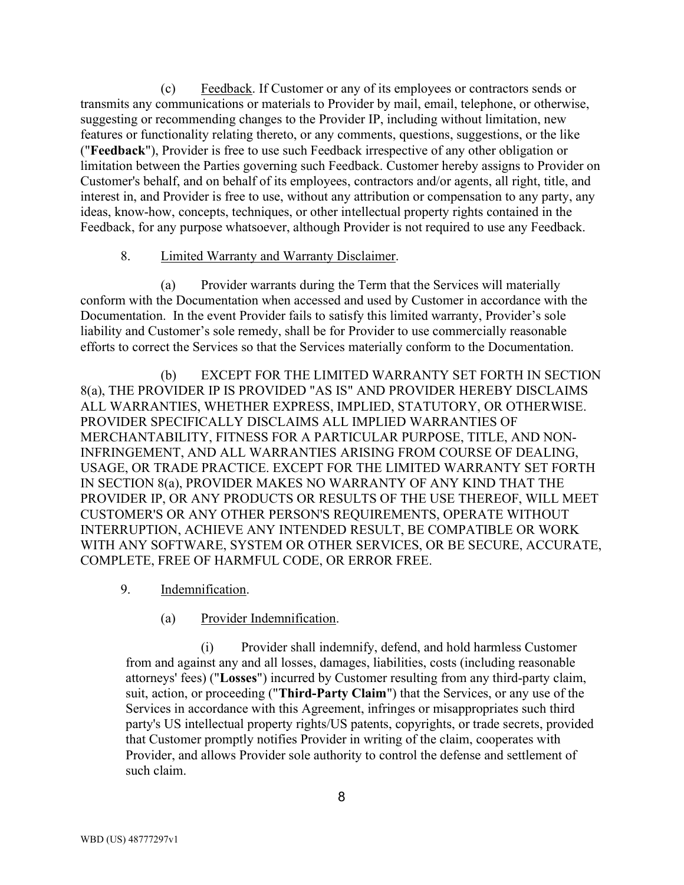(c) Feedback. If Customer or any of its employees or contractors sends or transmits any communications or materials to Provider by mail, email, telephone, or otherwise, suggesting or recommending changes to the Provider IP, including without limitation, new features or functionality relating thereto, or any comments, questions, suggestions, or the like ("Feedback"), Provider is free to use such Feedback irrespective of any other obligation or limitation between the Parties governing such Feedback. Customer hereby assigns to Provider on Customer's behalf, and on behalf of its employees, contractors and/or agents, all right, title, and interest in, and Provider is free to use, without any attribution or compensation to any party, any ideas, know-how, concepts, techniques, or other intellectual property rights contained in the Feedback, for any purpose whatsoever, although Provider is not required to use any Feedback.

#### 8. Limited Warranty and Warranty Disclaimer.

(a) Provider warrants during the Term that the Services will materially conform with the Documentation when accessed and used by Customer in accordance with the Documentation. In the event Provider fails to satisfy this limited warranty, Provider's sole liability and Customer's sole remedy, shall be for Provider to use commercially reasonable efforts to correct the Services so that the Services materially conform to the Documentation.

(b) EXCEPT FOR THE LIMITED WARRANTY SET FORTH IN SECTION 8(a), THE PROVIDER IP IS PROVIDED "AS IS" AND PROVIDER HEREBY DISCLAIMS ALL WARRANTIES, WHETHER EXPRESS, IMPLIED, STATUTORY, OR OTHERWISE. PROVIDER SPECIFICALLY DISCLAIMS ALL IMPLIED WARRANTIES OF MERCHANTABILITY, FITNESS FOR A PARTICULAR PURPOSE, TITLE, AND NON-INFRINGEMENT, AND ALL WARRANTIES ARISING FROM COURSE OF DEALING, USAGE, OR TRADE PRACTICE. EXCEPT FOR THE LIMITED WARRANTY SET FORTH IN SECTION 8(a), PROVIDER MAKES NO WARRANTY OF ANY KIND THAT THE PROVIDER IP, OR ANY PRODUCTS OR RESULTS OF THE USE THEREOF, WILL MEET CUSTOMER'S OR ANY OTHER PERSON'S REQUIREMENTS, OPERATE WITHOUT INTERRUPTION, ACHIEVE ANY INTENDED RESULT, BE COMPATIBLE OR WORK WITH ANY SOFTWARE, SYSTEM OR OTHER SERVICES, OR BE SECURE, ACCURATE, COMPLETE, FREE OF HARMFUL CODE, OR ERROR FREE.

- 9. Indemnification.
	- (a) Provider Indemnification.

(i) Provider shall indemnify, defend, and hold harmless Customer from and against any and all losses, damages, liabilities, costs (including reasonable attorneys' fees) ("Losses") incurred by Customer resulting from any third-party claim, suit, action, or proceeding ("Third-Party Claim") that the Services, or any use of the Services in accordance with this Agreement, infringes or misappropriates such third party's US intellectual property rights/US patents, copyrights, or trade secrets, provided that Customer promptly notifies Provider in writing of the claim, cooperates with Provider, and allows Provider sole authority to control the defense and settlement of such claim.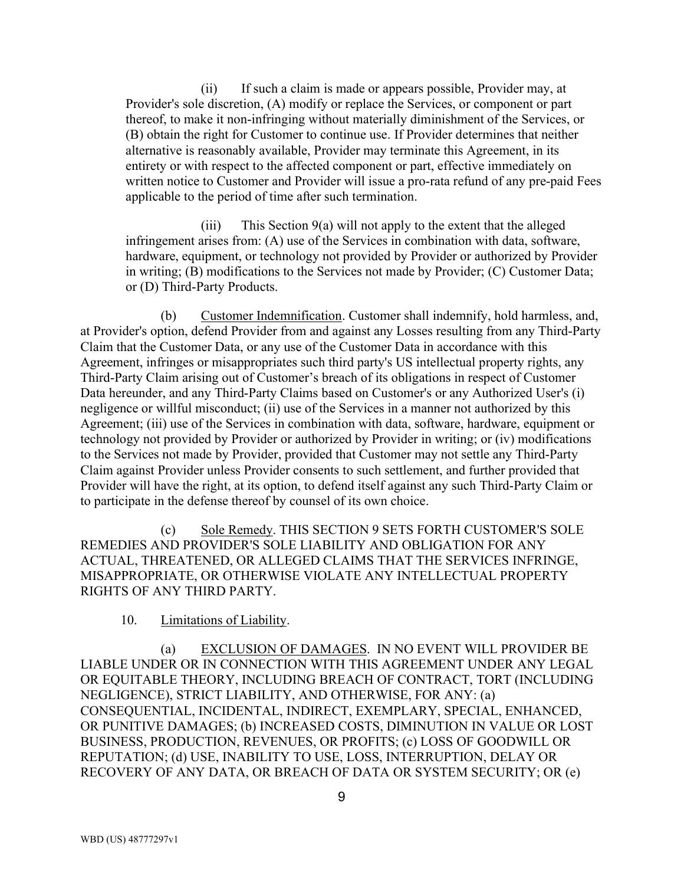(ii) If such a claim is made or appears possible, Provider may, at Provider's sole discretion, (A) modify or replace the Services, or component or part thereof, to make it non-infringing without materially diminishment of the Services, or (B) obtain the right for Customer to continue use. If Provider determines that neither alternative is reasonably available, Provider may terminate this Agreement, in its entirety or with respect to the affected component or part, effective immediately on written notice to Customer and Provider will issue a pro-rata refund of any pre-paid Fees applicable to the period of time after such termination.

(iii) This Section 9(a) will not apply to the extent that the alleged infringement arises from: (A) use of the Services in combination with data, software, hardware, equipment, or technology not provided by Provider or authorized by Provider in writing; (B) modifications to the Services not made by Provider; (C) Customer Data; or (D) Third-Party Products.

(b) Customer Indemnification. Customer shall indemnify, hold harmless, and, at Provider's option, defend Provider from and against any Losses resulting from any Third-Party Claim that the Customer Data, or any use of the Customer Data in accordance with this Agreement, infringes or misappropriates such third party's US intellectual property rights, any Third-Party Claim arising out of Customer's breach of its obligations in respect of Customer Data hereunder, and any Third-Party Claims based on Customer's or any Authorized User's (i) negligence or willful misconduct; (ii) use of the Services in a manner not authorized by this Agreement; (iii) use of the Services in combination with data, software, hardware, equipment or technology not provided by Provider or authorized by Provider in writing; or (iv) modifications to the Services not made by Provider, provided that Customer may not settle any Third-Party Claim against Provider unless Provider consents to such settlement, and further provided that Provider will have the right, at its option, to defend itself against any such Third-Party Claim or to participate in the defense thereof by counsel of its own choice.

(c) Sole Remedy. THIS SECTION 9 SETS FORTH CUSTOMER'S SOLE REMEDIES AND PROVIDER'S SOLE LIABILITY AND OBLIGATION FOR ANY ACTUAL, THREATENED, OR ALLEGED CLAIMS THAT THE SERVICES INFRINGE, MISAPPROPRIATE, OR OTHERWISE VIOLATE ANY INTELLECTUAL PROPERTY RIGHTS OF ANY THIRD PARTY.

### 10. Limitations of Liability.

(a) EXCLUSION OF DAMAGES. IN NO EVENT WILL PROVIDER BE LIABLE UNDER OR IN CONNECTION WITH THIS AGREEMENT UNDER ANY LEGAL OR EQUITABLE THEORY, INCLUDING BREACH OF CONTRACT, TORT (INCLUDING NEGLIGENCE), STRICT LIABILITY, AND OTHERWISE, FOR ANY: (a) CONSEQUENTIAL, INCIDENTAL, INDIRECT, EXEMPLARY, SPECIAL, ENHANCED, OR PUNITIVE DAMAGES; (b) INCREASED COSTS, DIMINUTION IN VALUE OR LOST BUSINESS, PRODUCTION, REVENUES, OR PROFITS; (c) LOSS OF GOODWILL OR REPUTATION; (d) USE, INABILITY TO USE, LOSS, INTERRUPTION, DELAY OR RECOVERY OF ANY DATA, OR BREACH OF DATA OR SYSTEM SECURITY; OR (e)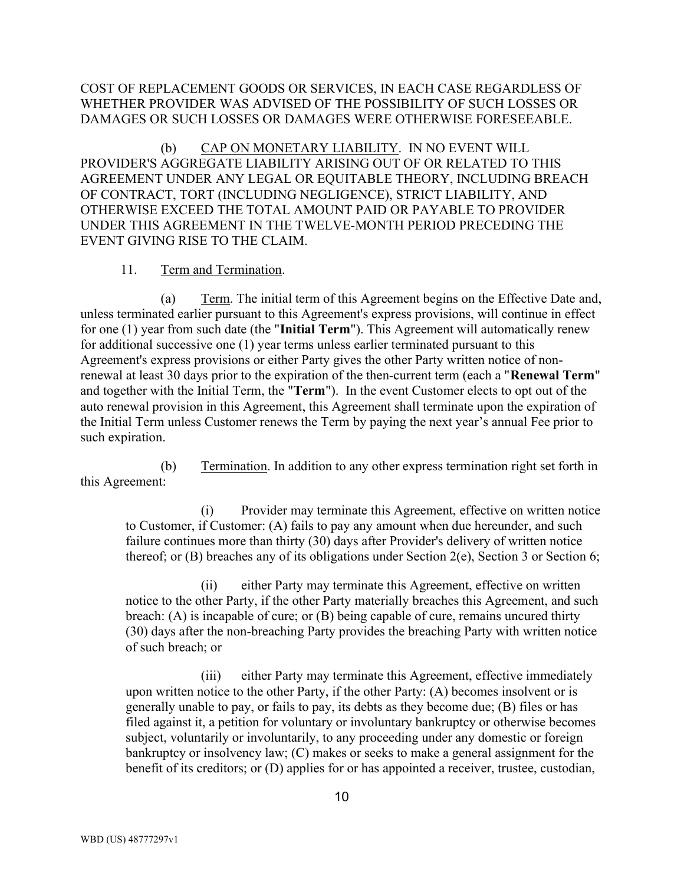## COST OF REPLACEMENT GOODS OR SERVICES, IN EACH CASE REGARDLESS OF WHETHER PROVIDER WAS ADVISED OF THE POSSIBILITY OF SUCH LOSSES OR DAMAGES OR SUCH LOSSES OR DAMAGES WERE OTHERWISE FORESEEABLE.

(b) CAP ON MONETARY LIABILITY. IN NO EVENT WILL PROVIDER'S AGGREGATE LIABILITY ARISING OUT OF OR RELATED TO THIS AGREEMENT UNDER ANY LEGAL OR EQUITABLE THEORY, INCLUDING BREACH OF CONTRACT, TORT (INCLUDING NEGLIGENCE), STRICT LIABILITY, AND OTHERWISE EXCEED THE TOTAL AMOUNT PAID OR PAYABLE TO PROVIDER UNDER THIS AGREEMENT IN THE TWELVE-MONTH PERIOD PRECEDING THE EVENT GIVING RISE TO THE CLAIM.

### 11. Term and Termination.

(a) Term. The initial term of this Agreement begins on the Effective Date and, unless terminated earlier pursuant to this Agreement's express provisions, will continue in effect for one (1) year from such date (the "Initial Term"). This Agreement will automatically renew for additional successive one (1) year terms unless earlier terminated pursuant to this Agreement's express provisions or either Party gives the other Party written notice of nonrenewal at least 30 days prior to the expiration of the then-current term (each a "Renewal Term" and together with the Initial Term, the "Term"). In the event Customer elects to opt out of the auto renewal provision in this Agreement, this Agreement shall terminate upon the expiration of the Initial Term unless Customer renews the Term by paying the next year's annual Fee prior to such expiration.

(b) Termination. In addition to any other express termination right set forth in this Agreement:

(i) Provider may terminate this Agreement, effective on written notice to Customer, if Customer: (A) fails to pay any amount when due hereunder, and such failure continues more than thirty (30) days after Provider's delivery of written notice thereof; or (B) breaches any of its obligations under Section 2(e), Section 3 or Section 6;

(ii) either Party may terminate this Agreement, effective on written notice to the other Party, if the other Party materially breaches this Agreement, and such breach: (A) is incapable of cure; or (B) being capable of cure, remains uncured thirty (30) days after the non-breaching Party provides the breaching Party with written notice of such breach; or

(iii) either Party may terminate this Agreement, effective immediately upon written notice to the other Party, if the other Party: (A) becomes insolvent or is generally unable to pay, or fails to pay, its debts as they become due; (B) files or has filed against it, a petition for voluntary or involuntary bankruptcy or otherwise becomes subject, voluntarily or involuntarily, to any proceeding under any domestic or foreign bankruptcy or insolvency law; (C) makes or seeks to make a general assignment for the benefit of its creditors; or (D) applies for or has appointed a receiver, trustee, custodian,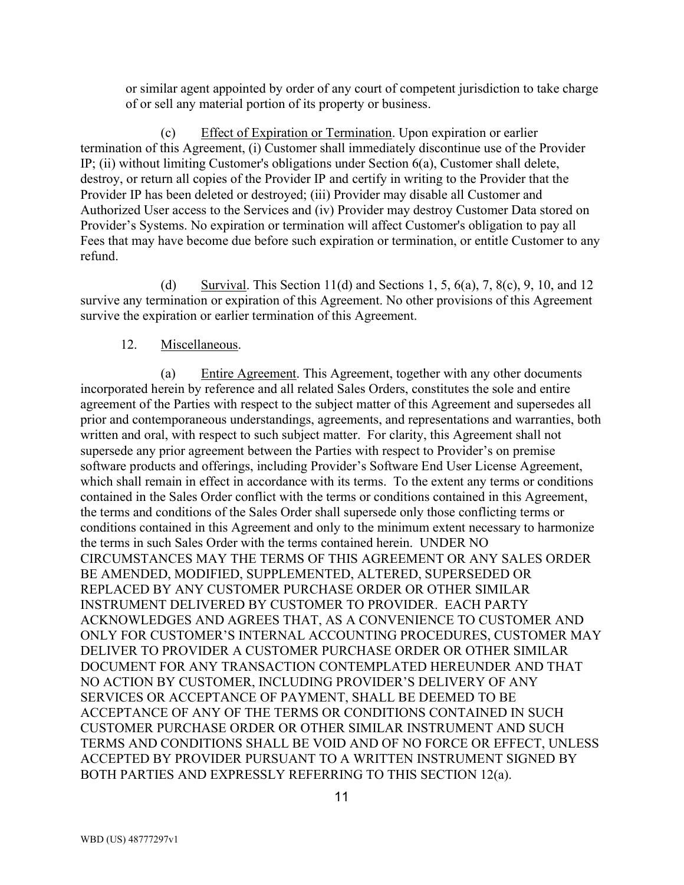or similar agent appointed by order of any court of competent jurisdiction to take charge of or sell any material portion of its property or business.

(c) Effect of Expiration or Termination. Upon expiration or earlier termination of this Agreement, (i) Customer shall immediately discontinue use of the Provider IP; (ii) without limiting Customer's obligations under Section 6(a), Customer shall delete, destroy, or return all copies of the Provider IP and certify in writing to the Provider that the Provider IP has been deleted or destroyed; (iii) Provider may disable all Customer and Authorized User access to the Services and (iv) Provider may destroy Customer Data stored on Provider's Systems. No expiration or termination will affect Customer's obligation to pay all Fees that may have become due before such expiration or termination, or entitle Customer to any refund.

(d) Survival. This Section 11(d) and Sections 1, 5,  $6(a)$ , 7,  $8(c)$ , 9, 10, and 12 survive any termination or expiration of this Agreement. No other provisions of this Agreement survive the expiration or earlier termination of this Agreement.

## 12. Miscellaneous.

(a) Entire Agreement. This Agreement, together with any other documents incorporated herein by reference and all related Sales Orders, constitutes the sole and entire agreement of the Parties with respect to the subject matter of this Agreement and supersedes all prior and contemporaneous understandings, agreements, and representations and warranties, both written and oral, with respect to such subject matter. For clarity, this Agreement shall not supersede any prior agreement between the Parties with respect to Provider's on premise software products and offerings, including Provider's Software End User License Agreement, which shall remain in effect in accordance with its terms. To the extent any terms or conditions contained in the Sales Order conflict with the terms or conditions contained in this Agreement, the terms and conditions of the Sales Order shall supersede only those conflicting terms or conditions contained in this Agreement and only to the minimum extent necessary to harmonize the terms in such Sales Order with the terms contained herein. UNDER NO CIRCUMSTANCES MAY THE TERMS OF THIS AGREEMENT OR ANY SALES ORDER BE AMENDED, MODIFIED, SUPPLEMENTED, ALTERED, SUPERSEDED OR REPLACED BY ANY CUSTOMER PURCHASE ORDER OR OTHER SIMILAR INSTRUMENT DELIVERED BY CUSTOMER TO PROVIDER. EACH PARTY ACKNOWLEDGES AND AGREES THAT, AS A CONVENIENCE TO CUSTOMER AND ONLY FOR CUSTOMER'S INTERNAL ACCOUNTING PROCEDURES, CUSTOMER MAY DELIVER TO PROVIDER A CUSTOMER PURCHASE ORDER OR OTHER SIMILAR DOCUMENT FOR ANY TRANSACTION CONTEMPLATED HEREUNDER AND THAT NO ACTION BY CUSTOMER, INCLUDING PROVIDER'S DELIVERY OF ANY SERVICES OR ACCEPTANCE OF PAYMENT, SHALL BE DEEMED TO BE ACCEPTANCE OF ANY OF THE TERMS OR CONDITIONS CONTAINED IN SUCH CUSTOMER PURCHASE ORDER OR OTHER SIMILAR INSTRUMENT AND SUCH TERMS AND CONDITIONS SHALL BE VOID AND OF NO FORCE OR EFFECT, UNLESS ACCEPTED BY PROVIDER PURSUANT TO A WRITTEN INSTRUMENT SIGNED BY BOTH PARTIES AND EXPRESSLY REFERRING TO THIS SECTION 12(a).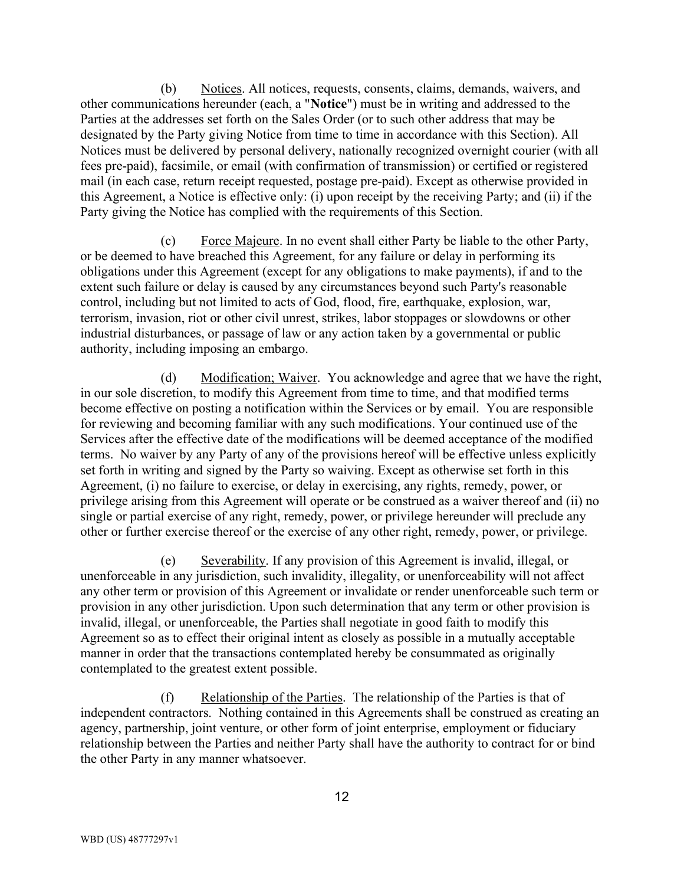(b) Notices. All notices, requests, consents, claims, demands, waivers, and other communications hereunder (each, a "Notice") must be in writing and addressed to the Parties at the addresses set forth on the Sales Order (or to such other address that may be designated by the Party giving Notice from time to time in accordance with this Section). All Notices must be delivered by personal delivery, nationally recognized overnight courier (with all fees pre-paid), facsimile, or email (with confirmation of transmission) or certified or registered mail (in each case, return receipt requested, postage pre-paid). Except as otherwise provided in this Agreement, a Notice is effective only: (i) upon receipt by the receiving Party; and (ii) if the Party giving the Notice has complied with the requirements of this Section.

(c) Force Majeure. In no event shall either Party be liable to the other Party, or be deemed to have breached this Agreement, for any failure or delay in performing its obligations under this Agreement (except for any obligations to make payments), if and to the extent such failure or delay is caused by any circumstances beyond such Party's reasonable control, including but not limited to acts of God, flood, fire, earthquake, explosion, war, terrorism, invasion, riot or other civil unrest, strikes, labor stoppages or slowdowns or other industrial disturbances, or passage of law or any action taken by a governmental or public authority, including imposing an embargo.

(d) Modification; Waiver. You acknowledge and agree that we have the right, in our sole discretion, to modify this Agreement from time to time, and that modified terms become effective on posting a notification within the Services or by email. You are responsible for reviewing and becoming familiar with any such modifications. Your continued use of the Services after the effective date of the modifications will be deemed acceptance of the modified terms. No waiver by any Party of any of the provisions hereof will be effective unless explicitly set forth in writing and signed by the Party so waiving. Except as otherwise set forth in this Agreement, (i) no failure to exercise, or delay in exercising, any rights, remedy, power, or privilege arising from this Agreement will operate or be construed as a waiver thereof and (ii) no single or partial exercise of any right, remedy, power, or privilege hereunder will preclude any other or further exercise thereof or the exercise of any other right, remedy, power, or privilege.

Severability. If any provision of this Agreement is invalid, illegal, or unenforceable in any jurisdiction, such invalidity, illegality, or unenforceability will not affect any other term or provision of this Agreement or invalidate or render unenforceable such term or provision in any other jurisdiction. Upon such determination that any term or other provision is invalid, illegal, or unenforceable, the Parties shall negotiate in good faith to modify this Agreement so as to effect their original intent as closely as possible in a mutually acceptable manner in order that the transactions contemplated hereby be consummated as originally contemplated to the greatest extent possible.

(f) Relationship of the Parties. The relationship of the Parties is that of independent contractors. Nothing contained in this Agreements shall be construed as creating an agency, partnership, joint venture, or other form of joint enterprise, employment or fiduciary relationship between the Parties and neither Party shall have the authority to contract for or bind the other Party in any manner whatsoever.